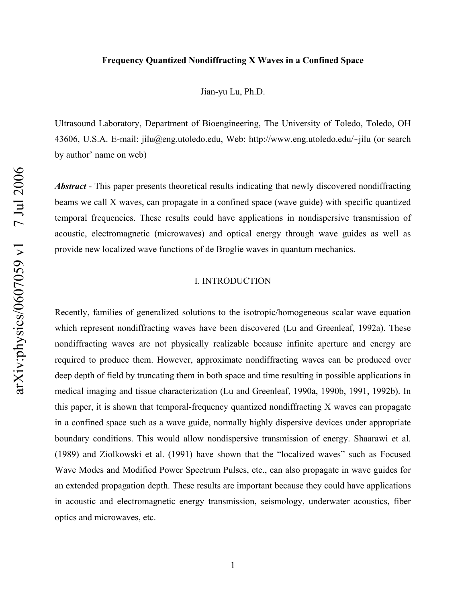### **Frequency Quantized Nondiffracting X Waves in a Confined Space**

Jian-yu Lu, Ph.D.

Ultrasound Laboratory, Department of Bioengineering, The University of Toledo, Toledo, OH 43606, U.S.A. E-mail: jilu@eng.utoledo.edu, Web: http://www.eng.utoledo.edu/~jilu (or search by author' name on web)

*Abstract* - This paper presents theoretical results indicating that newly discovered nondiffracting beams we call X waves, can propagate in a confined space (wave guide) with specific quantized temporal frequencies. These results could have applications in nondispersive transmission of acoustic, electromagnetic (microwaves) and optical energy through wave guides as well as provide new localized wave functions of de Broglie waves in quantum mechanics.

# I. INTRODUCTION

Recently, families of generalized solutions to the isotropic/homogeneous scalar wave equation which represent nondiffracting waves have been discovered (Lu and Greenleaf, 1992a). These nondiffracting waves are not physically realizable because infinite aperture and energy are required to produce them. However, approximate nondiffracting waves can be produced over deep depth of field by truncating them in both space and time resulting in possible applications in medical imaging and tissue characterization (Lu and Greenleaf, 1990a, 1990b, 1991, 1992b). In this paper, it is shown that temporal-frequency quantized nondiffracting X waves can propagate in a confined space such as a wave guide, normally highly dispersive devices under appropriate boundary conditions. This would allow nondispersive transmission of energy. Shaarawi et al. (1989) and Ziolkowski et al. (1991) have shown that the "localized waves" such as Focused Wave Modes and Modified Power Spectrum Pulses, etc., can also propagate in wave guides for an extended propagation depth. These results are important because they could have applications in acoustic and electromagnetic energy transmission, seismology, underwater acoustics, fiber optics and microwaves, etc.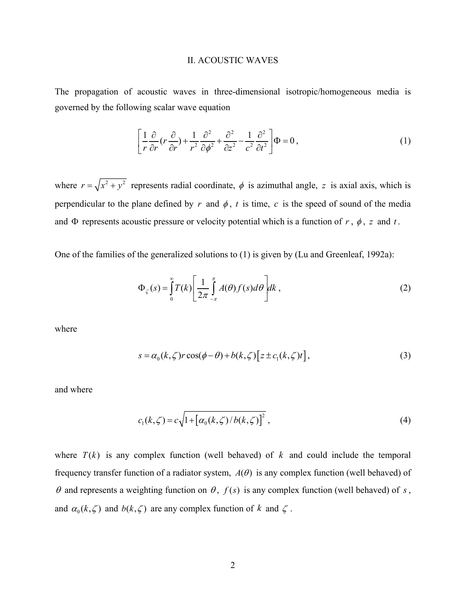#### II. ACOUSTIC WAVES

The propagation of acoustic waves in three-dimensional isotropic/homogeneous media is governed by the following scalar wave equation

$$
\left[\frac{1}{r}\frac{\partial}{\partial r}(r\frac{\partial}{\partial r}) + \frac{1}{r^2}\frac{\partial^2}{\partial \phi^2} + \frac{\partial^2}{\partial z^2} - \frac{1}{c^2}\frac{\partial^2}{\partial t^2}\right] \Phi = 0, \qquad (1)
$$

where  $r = \sqrt{x^2 + y^2}$  represents radial coordinate,  $\phi$  is azimuthal angle, z is axial axis, which is perpendicular to the plane defined by  $r$  and  $\phi$ ,  $t$  is time,  $c$  is the speed of sound of the media and  $\Phi$  represents acoustic pressure or velocity potential which is a function of  $r$ ,  $\phi$ ,  $z$  and  $t$ .

One of the families of the generalized solutions to (1) is given by (Lu and Greenleaf, 1992a):

$$
\Phi_{\zeta}(s) = \int_{0}^{\infty} T(k) \left[ \frac{1}{2\pi} \int_{-\pi}^{\pi} A(\theta) f(s) d\theta \right] dk , \qquad (2)
$$

where

$$
s = \alpha_0(k,\zeta)r\cos(\phi-\theta) + b(k,\zeta)\left[z \pm c_1(k,\zeta)t\right],
$$
\n(3)

and where

$$
c_1(k,\zeta) = c\sqrt{1 + [\alpha_0(k,\zeta)/b(k,\zeta)]^2} \,,
$$
 (4)

where  $T(k)$  is any complex function (well behaved) of k and could include the temporal frequency transfer function of a radiator system,  $A(\theta)$  is any complex function (well behaved) of  $\theta$  and represents a weighting function on  $\theta$ ,  $f(s)$  is any complex function (well behaved) of s, and  $\alpha_0(k,\zeta)$  and  $b(k,\zeta)$  are any complex function of k and  $\zeta$ .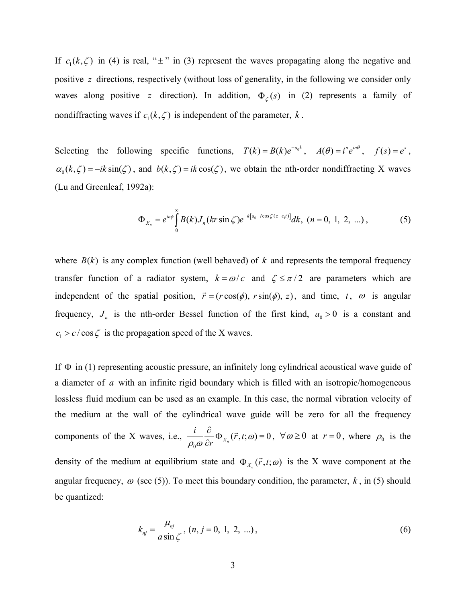If  $c_1(k,\zeta)$  in (4) is real, " $\pm$ " in (3) represent the waves propagating along the negative and positive z directions, respectively (without loss of generality, in the following we consider only waves along positive z direction). In addition,  $\Phi_{\zeta}(s)$  in (2) represents a family of nondiffracting waves if  $c_1(k, \zeta)$  is independent of the parameter, *k*.

Selecting the following specific functions,  $T(k) = B(k)e^{-a_0 k}$ ,  $A(\theta) = i^n e^{in\theta}$ ,  $f(s) = e^s$ ,  $\alpha_0 (k, \zeta) = -ik \sin(\zeta)$ , and  $b(k, \zeta) = ik \cos(\zeta)$ , we obtain the nth-order nondiffracting X waves (Lu and Greenleaf, 1992a):

$$
\Phi_{X_n} = e^{in\phi} \int_0^\infty B(k) J_n(kr \sin \zeta) e^{-k[a_0 - i \cos \zeta(z - c_1 t)]} dk, \ (n = 0, 1, 2, ...), \tag{5}
$$

where  $B(k)$  is any complex function (well behaved) of k and represents the temporal frequency transfer function of a radiator system,  $k = \omega/c$  and  $\zeta \le \pi/2$  are parameters which are independent of the spatial position,  $\vec{r} = (r \cos(\phi), r \sin(\phi), z)$ , and time,  $t$ ,  $\omega$  is angular frequency,  $J_n$  is the nth-order Bessel function of the first kind,  $a_0 > 0$  is a constant and  $c_1 > c / \cos \zeta$  is the propagation speed of the X waves.

If  $\Phi$  in (1) representing acoustic pressure, an infinitely long cylindrical acoustical wave guide of a diameter of a with an infinite rigid boundary which is filled with an isotropic/homogeneous lossless fluid medium can be used as an example. In this case, the normal vibration velocity of the medium at the wall of the cylindrical wave guide will be zero for all the frequency components of the X waves, i.e.,  $\frac{i}{\omega} \frac{\partial}{\partial r} \Phi_{X_n}(\vec{r}, t; \omega) \equiv 0$  $\frac{1}{r} \Psi_{X_n}(r,t;\omega)$  $\frac{i}{\rho_0 \omega} \frac{\partial}{\partial r} \Phi_{X_n}(\vec{r}, t; \omega) = 0$ ,  $\forall \omega \ge 0$  at  $r = 0$ , where  $\rho_0$  is the density of the medium at equilibrium state and  $\Phi_{X_n}(\vec{r}, t; \omega)$  is the X wave component at the angular frequency,  $\omega$  (see (5)). To meet this boundary condition, the parameter,  $k$ , in (5) should be quantized:

$$
k_{nj} = \frac{\mu_{nj}}{a \sin \zeta}, (n, j = 0, 1, 2, ...),
$$
 (6)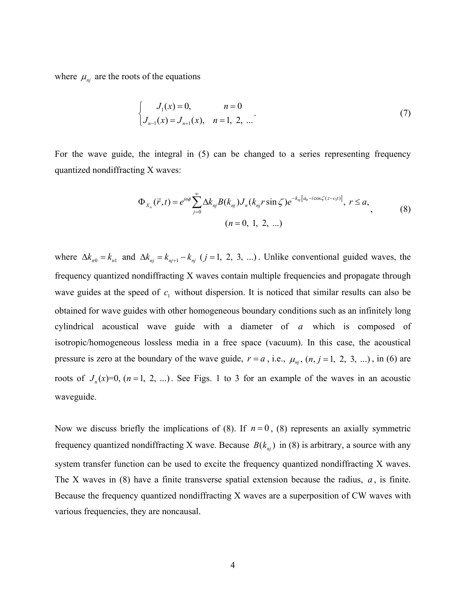where  $\mu_{ni}$  are the roots of the equations

$$
\begin{cases}\nJ_1(x) = 0, & n = 0 \\
J_{n-1}(x) = J_{n+1}(x), & n = 1, 2, ...\n\end{cases}
$$
\n(7)

For the wave guide, the integral in (5) can be changed to a series representing frequency quantized nondiffracting X waves:

$$
\Phi_{X_n}(\vec{r},t) = e^{in\phi} \sum_{j=0}^{\infty} \Delta k_{nj} B(k_{nj}) J_n(k_{nj} r \sin \zeta) e^{-k_{nj}[a_0 - i \cos \zeta (z - c_1 t)]}, \ r \le a,
$$
\n(8)

where  $\Delta k_{n0} = k_{n1}$  and  $\Delta k_{nj} = k_{nj+1} - k_{nj}$  (*j* = 1, 2, 3, ...). Unlike conventional guided waves, the frequency quantized nondiffracting X waves contain multiple frequencies and propagate through wave guides at the speed of  $c_1$  without dispersion. It is noticed that similar results can also be obtained for wave guides with other homogeneous boundary conditions such as an infinitely long cylindrical acoustical wave guide with a diameter of *a* which is composed of isotropic/homogeneous lossless media in a free space (vacuum). In this case, the acoustical pressure is zero at the boundary of the wave guide,  $r = a$ , i.e.,  $\mu_{nj}$ ,  $(n, j = 1, 2, 3, ...)$ , in (6) are roots of  $J_n(x)=0$ ,  $(n=1, 2, ...)$ . See Figs. 1 to 3 for an example of the waves in an acoustic waveguide.

Now we discuss briefly the implications of (8). If  $n = 0$ , (8) represents an axially symmetric frequency quantized nondiffracting X wave. Because  $B(k_{nj})$  in (8) is arbitrary, a source with any system transfer function can be used to excite the frequency quantized nondiffracting X waves. The X waves in  $(8)$  have a finite transverse spatial extension because the radius,  $a$ , is finite. Because the frequency quantized nondiffracting X waves are a superposition of CW waves with various frequencies, they are noncausal.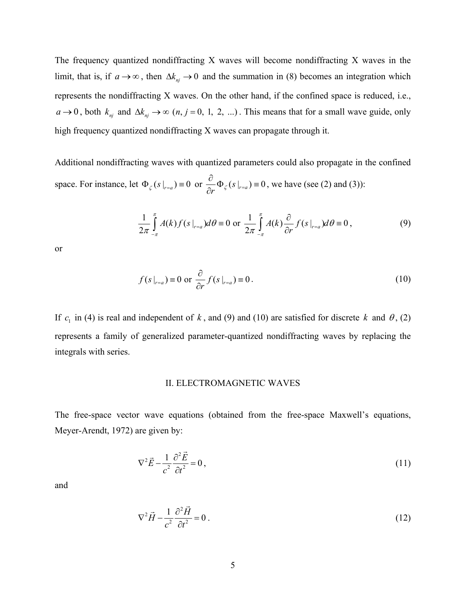The frequency quantized nondiffracting X waves will become nondiffracting X waves in the limit, that is, if  $a \to \infty$ , then  $\Delta k_{nj} \to 0$  and the summation in (8) becomes an integration which represents the nondiffracting X waves. On the other hand, if the confined space is reduced, i.e.,  $a \rightarrow 0$ , both  $k_{nj}$  and  $\Delta k_{nj} \rightarrow \infty$   $(n, j = 0, 1, 2, ...)$ . This means that for a small wave guide, only high frequency quantized nondiffracting X waves can propagate through it.

Additional nondiffracting waves with quantized parameters could also propagate in the confined space. For instance, let  $\Phi_{\zeta}(s|_{r=a}) = 0$  or  $\frac{\partial}{\partial r} \Phi_{\zeta}(s|_{r=a}) = 0$ , we have (see (2) and (3)):

$$
\frac{1}{2\pi}\int_{-\pi}^{\pi}A(k)f(s|_{r=a})d\theta \equiv 0 \text{ or } \frac{1}{2\pi}\int_{-\pi}^{\pi}A(k)\frac{\partial}{\partial r}f(s|_{r=a})d\theta \equiv 0, \qquad (9)
$$

or

$$
f(s|_{r=a}) \equiv 0 \text{ or } \frac{\partial}{\partial r} f(s|_{r=a}) \equiv 0. \tag{10}
$$

If  $c_1$  in (4) is real and independent of k, and (9) and (10) are satisfied for discrete k and  $\theta$ , (2) represents a family of generalized parameter-quantized nondiffracting waves by replacing the integrals with series.

# II. ELECTROMAGNETIC WAVES

The free-space vector wave equations (obtained from the free-space Maxwell's equations, Meyer-Arendt, 1972) are given by:

$$
\nabla^2 \vec{E} - \frac{1}{c^2} \frac{\partial^2 \vec{E}}{\partial t^2} = 0,
$$
\n(11)

and

$$
\nabla^2 \vec{H} - \frac{1}{c^2} \frac{\partial^2 \vec{H}}{\partial t^2} = 0 \tag{12}
$$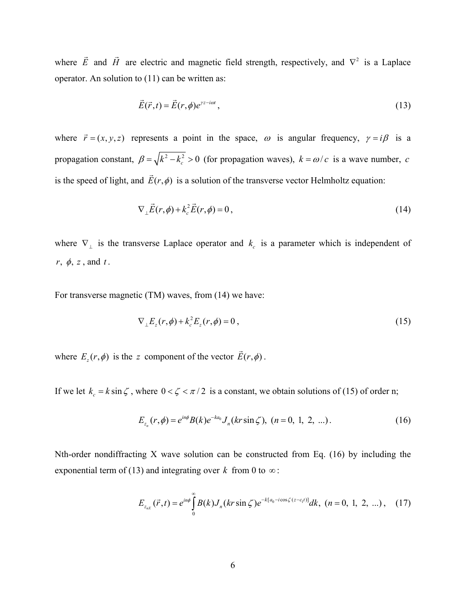where *E*  $\rightarrow$  and *H*  $\rightarrow$ are electric and magnetic field strength, respectively, and  $\nabla^2$  is a Laplace operator. An solution to (11) can be written as:

$$
\vec{E}(\vec{r},t) = \vec{E}(r,\phi)e^{\gamma z - i\omega t},\tag{13}
$$

where  $\vec{r} = (x, y, z)$  represents a point in the space,  $\omega$  is angular frequency,  $\gamma = i\beta$  is a propagation constant,  $\beta = \sqrt{k^2 - k_c^2} > 0$  (for propagation waves),  $k = \omega/c$  is a wave number, c is the speed of light, and  $\vec{E}(r, \phi)$  is a solution of the transverse vector Helmholtz equation:

$$
\nabla_{\perp}\vec{E}(r,\phi) + k_c^2 \vec{E}(r,\phi) = 0, \qquad (14)
$$

 $r, \phi, z$ , and  $t$ . where  $\nabla$ <sub>⊥</sub> is the transverse Laplace operator and  $k_c$  is a parameter which is independent of

For transverse magnetic (TM) waves, from (14) we have:

$$
\nabla_{\perp} E_z(r,\phi) + k_c^2 E_z(r,\phi) = 0 , \qquad (15)
$$

where  $E_z(r, \phi)$  is the *z* component of the vector  $\vec{E}(r, \phi)$ .

If we let  $k_c = k \sin \zeta$ , where  $0 < \zeta < \pi/2$  is a constant, we obtain solutions of (15) of order n;

$$
E_{z_n}(r,\phi) = e^{in\phi} B(k)e^{-ka_0} J_n(kr\sin\zeta), \ (n=0, 1, 2, ...).
$$
 (16)

Nth-order nondiffracting X wave solution can be constructed from Eq. (16) by including the exponential term of (13) and integrating over *k* from 0 to  $\infty$ :

$$
E_{z_{nX}}(\vec{r},t) = e^{in\phi} \int_{0}^{\infty} B(k) J_{n}(kr \sin \zeta) e^{-k[a_{0}-i\cos \zeta(z-c_{1}t)]} dk, (n = 0, 1, 2, ...), (17)
$$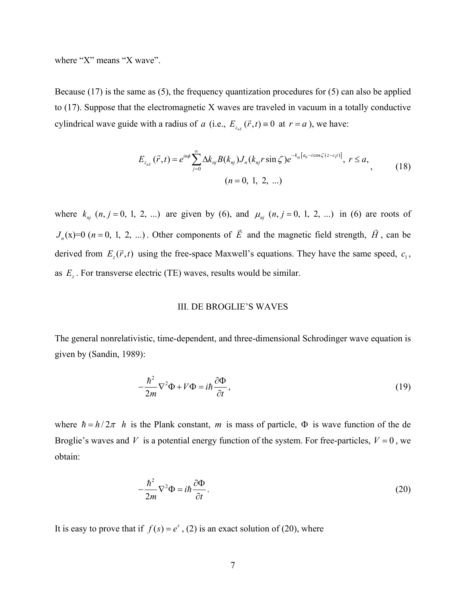where "X" means "X wave".

Because (17) is the same as (5), the frequency quantization procedures for (5) can also be applied to (17). Suppose that the electromagnetic X waves are traveled in vacuum in a totally conductive cylindrical wave guide with a radius of *a* (i.e.,  $E_{z_{r}}(\vec{r},t) = 0$  at  $r = a$ ), we have:

$$
E_{z_{n}(\vec{r},t)} = e^{in\phi} \sum_{j=0}^{\infty} \Delta k_{nj} B(k_{nj}) J_n(k_{nj} r \sin \zeta) e^{-k_{nj}[a_0 - i \cos \zeta (z - c_1 t)]}, \ r \le a,
$$
\n
$$
(n = 0, 1, 2, ...)
$$
\n(18)

where  $k_{nj}$   $(n, j = 0, 1, 2, ...)$  are given by (6), and  $\mu_{nj}$   $(n, j = 0, 1, 2, ...)$  in (6) are roots of  $J_n(x)=0$  ( $n = 0, 1, 2, ...$ ). Other components of *E*  $\rightarrow$  and the magnetic field strength, *H*  $\rightarrow$ , can be derived from  $E_z(\vec{r}, t)$  using the free-space Maxwell's equations. They have the same speed,  $c_1$ , as  $E_z$ . For transverse electric (TE) waves, results would be similar.

### III. DE BROGLIE'S WAVES

The general nonrelativistic, time-dependent, and three-dimensional Schrodinger wave equation is given by (Sandin, 1989):

$$
-\frac{\hbar^2}{2m}\nabla^2\Phi + V\Phi = i\hbar\frac{\partial\Phi}{\partial t},\qquad(19)
$$

where  $\hbar = h/2\pi$  *h* is the Plank constant, *m* is mass of particle,  $\Phi$  is wave function of the de Broglie's waves and *V* is a potential energy function of the system. For free-particles,  $V = 0$ , we obtain:

$$
-\frac{\hbar^2}{2m}\nabla^2\Phi = i\hbar\frac{\partial\Phi}{\partial t}.
$$
\n(20)

It is easy to prove that if  $f(s) = e^s$ , (2) is an exact solution of (20), where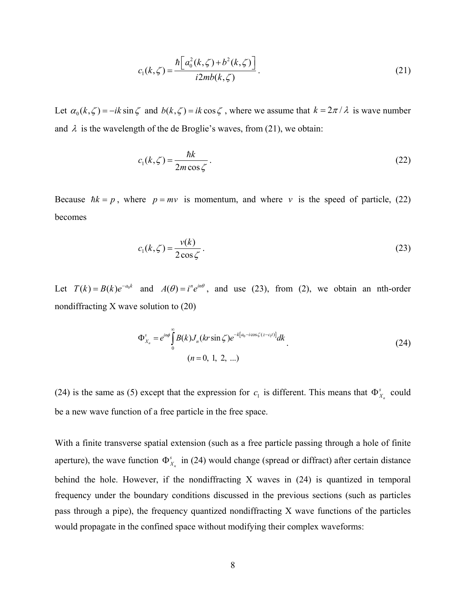$$
c_1(k,\zeta) = \frac{\hbar \left[ a_0^2(k,\zeta) + b^2(k,\zeta) \right]}{i2mb(k,\zeta)}.
$$
 (21)

Let  $\alpha_0 (k, \zeta) = -ik \sin \zeta$  and  $b(k, \zeta) = ik \cos \zeta$ , where we assume that  $k = 2\pi / \lambda$  is wave number and  $\lambda$  is the wavelength of the de Broglie's waves, from (21), we obtain:

$$
c_1(k,\zeta) = \frac{\hbar k}{2m\cos\zeta}.
$$
 (22)

Because  $\hbar k = p$ , where  $p = mv$  is momentum, and where *v* is the speed of particle, (22) becomes

$$
c_1(k,\zeta) = \frac{v(k)}{2\cos\zeta}.
$$
\n(23)

Let  $T(k) = B(k)e^{-a_0 k}$  and  $A(\theta) = i^n e^{in\theta}$ , and use (23), from (2), we obtain an nth-order nondiffracting X wave solution to (20)

$$
\Phi_{X_n}^s = e^{in\phi} \int_0^\infty B(k) J_n(kr \sin \zeta) e^{-k[a_0 - i \cos \zeta (z - c_1 t)]} dk
$$
\n
$$
(n = 0, 1, 2, ...)
$$
\n(24)

(24) is the same as (5) except that the expression for  $c_1$  is different. This means that  $\Phi_{X_n}^s$  could be a new wave function of a free particle in the free space.

With a finite transverse spatial extension (such as a free particle passing through a hole of finite aperture), the wave function  $\Phi_{X_n}^s$  in (24) would change (spread or diffract) after certain distance behind the hole. However, if the nondiffracting X waves in (24) is quantized in temporal frequency under the boundary conditions discussed in the previous sections (such as particles pass through a pipe), the frequency quantized nondiffracting X wave functions of the particles would propagate in the confined space without modifying their complex waveforms: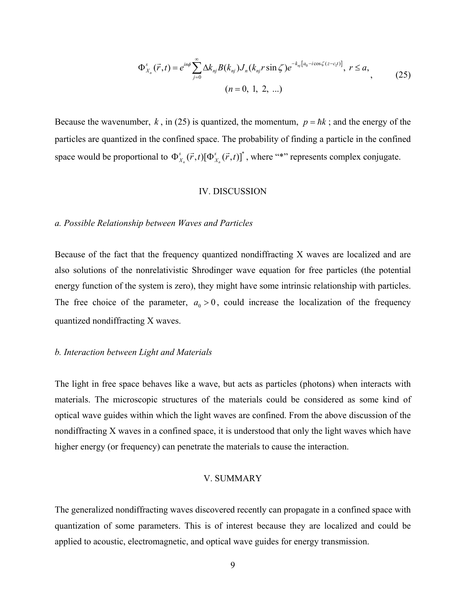$$
\Phi_{X_n}^s(\vec{r},t) = e^{in\phi} \sum_{j=0}^{\infty} \Delta k_{nj} B(k_{nj}) J_n(k_{nj} r \sin \zeta) e^{-k_{nj}[a_0 - i \cos \zeta (z - c_1 t)]}, \ r \le a,
$$
\n
$$
(n = 0, 1, 2, ...)
$$
\n(25)

Because the wavenumber,  $k$ , in (25) is quantized, the momentum,  $p = \hbar k$ ; and the energy of the particles are quantized in the confined space. The probability of finding a particle in the confined space would be proportional to  $\Phi_{X_n}^s(\vec{r},t)[\Phi_{X_n}^s(\vec{r},t)]^*$  $\Phi_{X_n}^s(\vec{r},t)[\Phi_{X_n}^s(\vec{r},t)]^*$ , where "\*" represents complex conjugate.

#### IV. DISCUSSION

### *a. Possible Relationship between Waves and Particles*

Because of the fact that the frequency quantized nondiffracting X waves are localized and are also solutions of the nonrelativistic Shrodinger wave equation for free particles (the potential energy function of the system is zero), they might have some intrinsic relationship with particles. The free choice of the parameter,  $a_0 > 0$ , could increase the localization of the frequency quantized nondiffracting X waves.

### *b. Interaction between Light and Materials*

The light in free space behaves like a wave, but acts as particles (photons) when interacts with materials. The microscopic structures of the materials could be considered as some kind of optical wave guides within which the light waves are confined. From the above discussion of the nondiffracting X waves in a confined space, it is understood that only the light waves which have higher energy (or frequency) can penetrate the materials to cause the interaction.

# V. SUMMARY

The generalized nondiffracting waves discovered recently can propagate in a confined space with quantization of some parameters. This is of interest because they are localized and could be applied to acoustic, electromagnetic, and optical wave guides for energy transmission.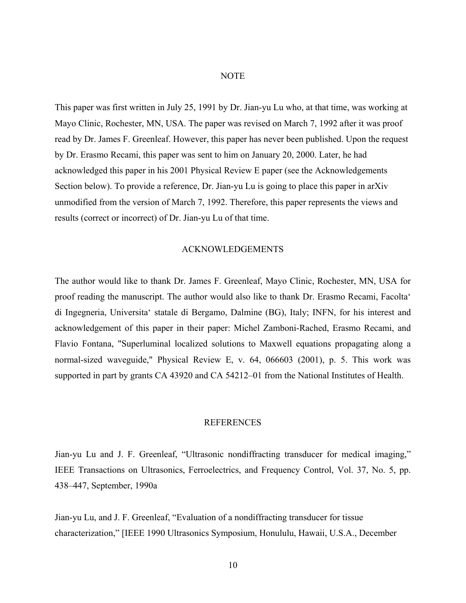#### **NOTE**

This paper was first written in July 25, 1991 by Dr. Jian-yu Lu who, at that time, was working at Mayo Clinic, Rochester, MN, USA. The paper was revised on March 7, 1992 after it was proof read by Dr. James F. Greenleaf. However, this paper has never been published. Upon the request by Dr. Erasmo Recami, this paper was sent to him on January 20, 2000. Later, he had acknowledged this paper in his 2001 Physical Review E paper (see the Acknowledgements Section below). To provide a reference, Dr. Jian-yu Lu is going to place this paper in arXiv unmodified from the version of March 7, 1992. Therefore, this paper represents the views and results (correct or incorrect) of Dr. Jian-yu Lu of that time.

### ACKNOWLEDGEMENTS

The author would like to thank Dr. James F. Greenleaf, Mayo Clinic, Rochester, MN, USA for proof reading the manuscript. The author would also like to thank Dr. Erasmo Recami, Facolta' di Ingegneria, Universita' statale di Bergamo, Dalmine (BG), Italy; INFN, for his interest and acknowledgement of this paper in their paper: Michel Zamboni-Rached, Erasmo Recami, and Flavio Fontana, "Superluminal localized solutions to Maxwell equations propagating along a normal-sized waveguide," Physical Review E, v. 64, 066603 (2001), p. 5. This work was supported in part by grants CA 43920 and CA 54212–01 from the National Institutes of Health.

### **REFERENCES**

Jian-yu Lu and J. F. Greenleaf, "Ultrasonic nondiffracting transducer for medical imaging," IEEE Transactions on Ultrasonics, Ferroelectrics, and Frequency Control, Vol. 37, No. 5, pp. 438–447, September, 1990a

Jian-yu Lu, and J. F. Greenleaf, "Evaluation of a nondiffracting transducer for tissue characterization," [IEEE 1990 Ultrasonics Symposium, Honululu, Hawaii, U.S.A., December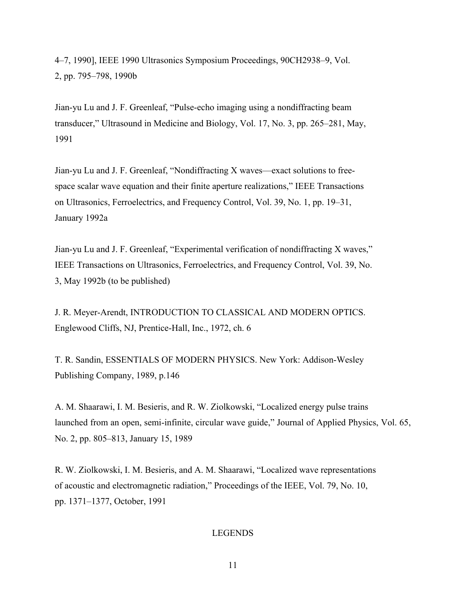4–7, 1990], IEEE 1990 Ultrasonics Symposium Proceedings, 90CH2938–9, Vol. 2, pp. 795–798, 1990b

Jian-yu Lu and J. F. Greenleaf, "Pulse-echo imaging using a nondiffracting beam transducer," Ultrasound in Medicine and Biology, Vol. 17, No. 3, pp. 265–281, May, 1991

Jian-yu Lu and J. F. Greenleaf, "Nondiffracting X waves—exact solutions to freespace scalar wave equation and their finite aperture realizations," IEEE Transactions on Ultrasonics, Ferroelectrics, and Frequency Control, Vol. 39, No. 1, pp. 19–31, January 1992a

Jian-yu Lu and J. F. Greenleaf, "Experimental verification of nondiffracting X waves," IEEE Transactions on Ultrasonics, Ferroelectrics, and Frequency Control, Vol. 39, No. 3, May 1992b (to be published)

J. R. Meyer-Arendt, INTRODUCTION TO CLASSICAL AND MODERN OPTICS. Englewood Cliffs, NJ, Prentice-Hall, Inc., 1972, ch. 6

T. R. Sandin, ESSENTIALS OF MODERN PHYSICS. New York: Addison-Wesley Publishing Company, 1989, p.146

A. M. Shaarawi, I. M. Besieris, and R. W. Ziolkowski, "Localized energy pulse trains launched from an open, semi-infinite, circular wave guide," Journal of Applied Physics, Vol. 65, No. 2, pp. 805–813, January 15, 1989

R. W. Ziolkowski, I. M. Besieris, and A. M. Shaarawi, "Localized wave representations of acoustic and electromagnetic radiation," Proceedings of the IEEE, Vol. 79, No. 10, pp. 1371–1377, October, 1991

### LEGENDS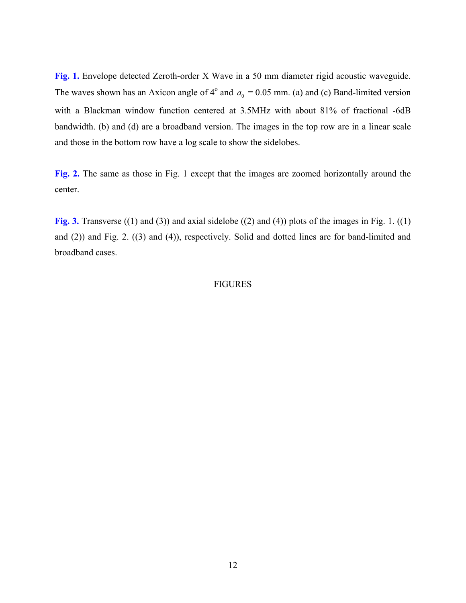Fig. 1. Envelope detected Zeroth-order X Wave in a 50 mm diameter rigid acoustic waveguide. The waves shown has an Axicon angle of  $4^{\circ}$  and  $a_0 = 0.05$  mm. (a) and (c) Band-limited version with a Blackman window function centered at 3.5MHz with about 81% of fractional -6dB bandwidth. (b) and (d) are a broadband version. The images in the top row are in a linear scale and those in the bottom row have a log scale to show the sidelobes.

**Fig. 2.** The same as those in Fig. 1 except that the images are zoomed horizontally around the center.

**Fig. 3.** Transverse ((1) and (3)) and axial sidelobe ((2) and (4)) plots of the images in Fig. 1. ((1) and (2)) and Fig. 2. ((3) and (4)), respectively. Solid and dotted lines are for band-limited and broadband cases.

### FIGURES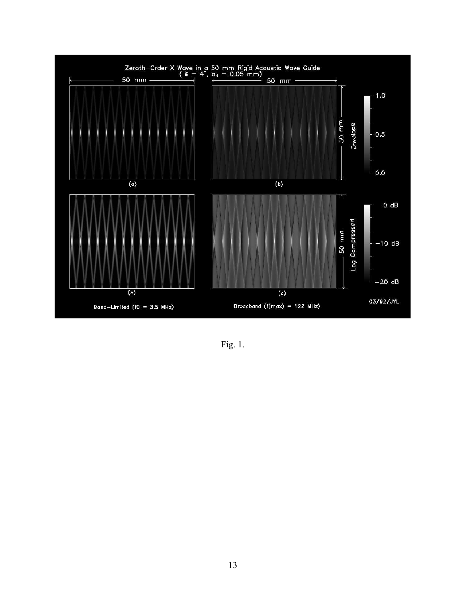

Fig. 1.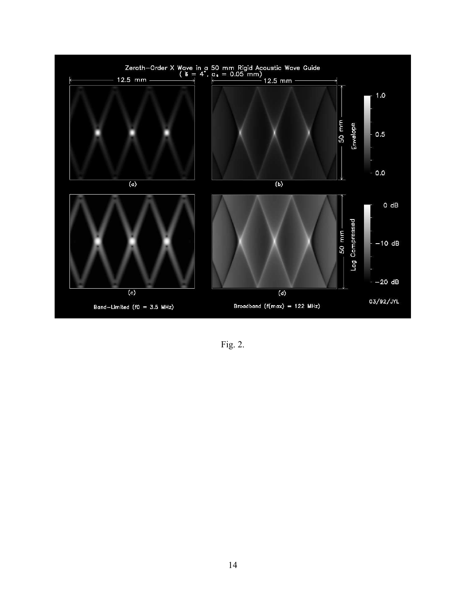

Fig. 2.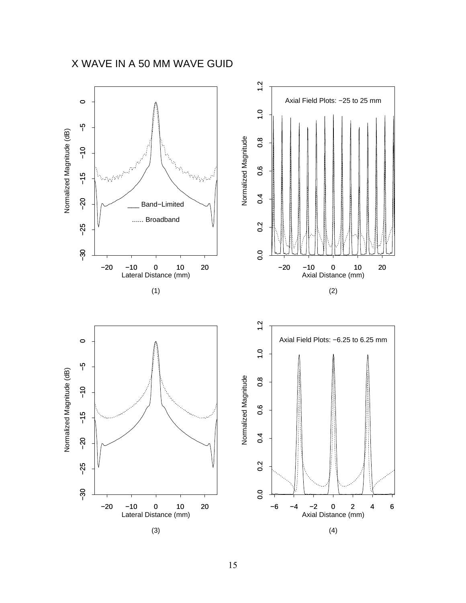# X WAVE IN A 50 MM WAVE GUID